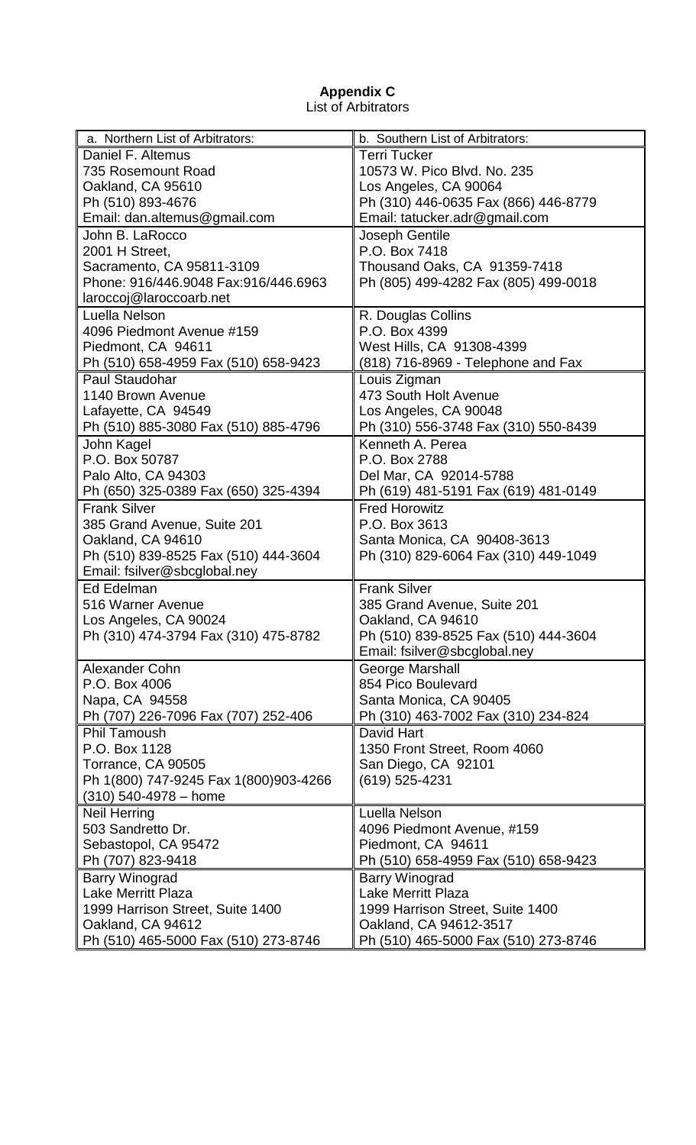## **Appendix C** List of Arbitrators

| a. Northern List of Arbitrators:      | b. Southern List of Arbitrators:     |
|---------------------------------------|--------------------------------------|
| Daniel F. Altemus                     | <b>Terri Tucker</b>                  |
| 735 Rosemount Road                    | 10573 W. Pico Blvd. No. 235          |
| Oakland, CA 95610                     | Los Angeles, CA 90064                |
| Ph (510) 893-4676                     | Ph (310) 446-0635 Fax (866) 446-8779 |
| Email: dan.altemus@gmail.com          | Email: tatucker.adr@gmail.com        |
| John B. LaRocco                       | Joseph Gentile                       |
| 2001 H Street,                        | P.O. Box 7418                        |
| Sacramento, CA 95811-3109             | Thousand Oaks, CA 91359-7418         |
| Phone: 916/446.9048 Fax:916/446.6963  | Ph (805) 499-4282 Fax (805) 499-0018 |
| laroccoj@laroccoarb.net               |                                      |
| Luella Nelson                         | R. Douglas Collins                   |
| 4096 Piedmont Avenue #159             | P.O. Box 4399                        |
| Piedmont, CA 94611                    | West Hills, CA 91308-4399            |
| Ph (510) 658-4959 Fax (510) 658-9423  | (818) 716-8969 - Telephone and Fax   |
| Paul Staudohar                        | Louis Zigman                         |
| 1140 Brown Avenue                     | 473 South Holt Avenue                |
| Lafayette, CA 94549                   | Los Angeles, CA 90048                |
| Ph (510) 885-3080 Fax (510) 885-4796  | Ph (310) 556-3748 Fax (310) 550-8439 |
| John Kagel                            | Kenneth A. Perea                     |
| P.O. Box 50787                        | P.O. Box 2788                        |
| Palo Alto, CA 94303                   | Del Mar, CA 92014-5788               |
| Ph (650) 325-0389 Fax (650) 325-4394  | Ph (619) 481-5191 Fax (619) 481-0149 |
| <b>Frank Silver</b>                   | <b>Fred Horowitz</b>                 |
| 385 Grand Avenue, Suite 201           | P.O. Box 3613                        |
| Oakland, CA 94610                     | Santa Monica, CA 90408-3613          |
| Ph (510) 839-8525 Fax (510) 444-3604  | Ph (310) 829-6064 Fax (310) 449-1049 |
| Email: fsilver@sbcglobal.ney          |                                      |
| Ed Edelman                            | <b>Frank Silver</b>                  |
| 516 Warner Avenue                     | 385 Grand Avenue, Suite 201          |
| Los Angeles, CA 90024                 | Oakland, CA 94610                    |
| Ph (310) 474-3794 Fax (310) 475-8782  | Ph (510) 839-8525 Fax (510) 444-3604 |
|                                       | Email: fsilver@sbcglobal.ney         |
| Alexander Cohn                        | <b>George Marshall</b>               |
| P.O. Box 4006                         | 854 Pico Boulevard                   |
| Napa, CA 94558                        | Santa Monica, CA 90405               |
| Ph (707) 226-7096 Fax (707) 252-406   | Ph (310) 463-7002 Fax (310) 234-824  |
| <b>Phil Tamoush</b>                   | David Hart                           |
| P.O. Box 1128                         | 1350 Front Street, Room 4060         |
| Torrance, CA 90505                    | San Diego, CA 92101                  |
| Ph 1(800) 747-9245 Fax 1(800)903-4266 | (619) 525-4231                       |
| $(310)$ 540-4978 - home               |                                      |
| <b>Neil Herring</b>                   | Luella Nelson                        |
| 503 Sandretto Dr.                     | 4096 Piedmont Avenue, #159           |
| Sebastopol, CA 95472                  | Piedmont, CA 94611                   |
| Ph (707) 823-9418                     | Ph (510) 658-4959 Fax (510) 658-9423 |
| <b>Barry Winograd</b>                 | <b>Barry Winograd</b>                |
| <b>Lake Merritt Plaza</b>             | <b>Lake Merritt Plaza</b>            |
| 1999 Harrison Street, Suite 1400      | 1999 Harrison Street, Suite 1400     |
| Oakland, CA 94612                     | Oakland, CA 94612-3517               |
| Ph (510) 465-5000 Fax (510) 273-8746  | Ph (510) 465-5000 Fax (510) 273-8746 |